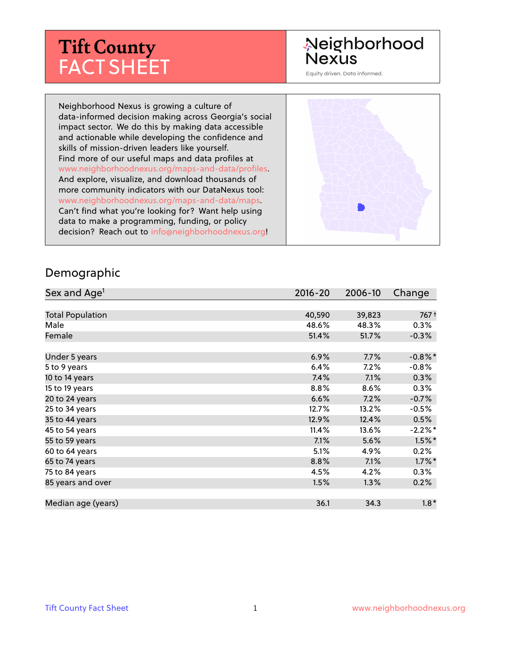# **Tift County** FACT SHEET

# Neighborhood<br>Nexus

Equity driven. Data informed.

Neighborhood Nexus is growing a culture of data-informed decision making across Georgia's social impact sector. We do this by making data accessible and actionable while developing the confidence and skills of mission-driven leaders like yourself. Find more of our useful maps and data profiles at www.neighborhoodnexus.org/maps-and-data/profiles. And explore, visualize, and download thousands of more community indicators with our DataNexus tool: www.neighborhoodnexus.org/maps-and-data/maps. Can't find what you're looking for? Want help using data to make a programming, funding, or policy decision? Reach out to [info@neighborhoodnexus.org!](mailto:info@neighborhoodnexus.org)



#### Demographic

| Sex and Age <sup>1</sup> | $2016 - 20$ | 2006-10 | Change     |
|--------------------------|-------------|---------|------------|
|                          |             |         |            |
| <b>Total Population</b>  | 40,590      | 39,823  | 767 +      |
| Male                     | 48.6%       | 48.3%   | $0.3\%$    |
| Female                   | 51.4%       | 51.7%   | $-0.3%$    |
|                          |             |         |            |
| Under 5 years            | 6.9%        | 7.7%    | $-0.8\%$ * |
| 5 to 9 years             | 6.4%        | $7.2\%$ | $-0.8%$    |
| 10 to 14 years           | 7.4%        | 7.1%    | 0.3%       |
| 15 to 19 years           | 8.8%        | 8.6%    | 0.3%       |
| 20 to 24 years           | 6.6%        | 7.2%    | $-0.7%$    |
| 25 to 34 years           | 12.7%       | 13.2%   | $-0.5%$    |
| 35 to 44 years           | 12.9%       | 12.4%   | 0.5%       |
| 45 to 54 years           | 11.4%       | 13.6%   | $-2.2\%$ * |
| 55 to 59 years           | 7.1%        | 5.6%    | $1.5\%$ *  |
| 60 to 64 years           | 5.1%        | 4.9%    | 0.2%       |
| 65 to 74 years           | 8.8%        | 7.1%    | $1.7\%$ *  |
| 75 to 84 years           | 4.5%        | 4.2%    | 0.3%       |
| 85 years and over        | 1.5%        | 1.3%    | 0.2%       |
|                          |             |         |            |
| Median age (years)       | 36.1        | 34.3    | $1.8*$     |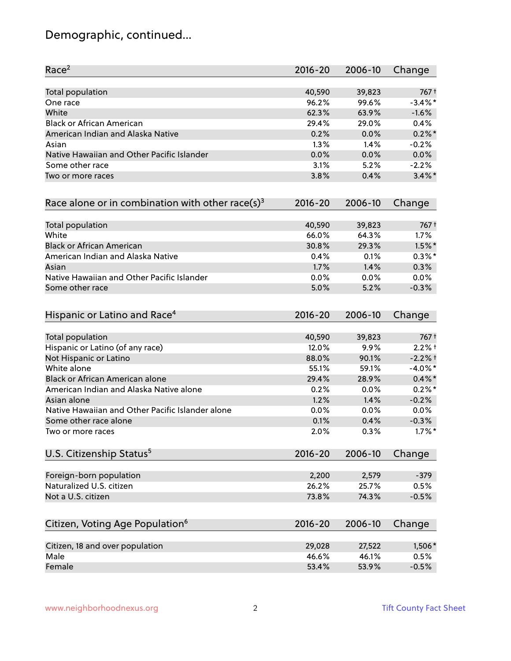### Demographic, continued...

| Race <sup>2</sup>                                            | $2016 - 20$ | 2006-10 | Change     |
|--------------------------------------------------------------|-------------|---------|------------|
| <b>Total population</b>                                      | 40,590      | 39,823  | 767 +      |
| One race                                                     | 96.2%       | 99.6%   | $-3.4\%$ * |
| White                                                        | 62.3%       | 63.9%   | $-1.6%$    |
| <b>Black or African American</b>                             | 29.4%       | 29.0%   | 0.4%       |
| American Indian and Alaska Native                            | 0.2%        | 0.0%    | $0.2\%$ *  |
| Asian                                                        | 1.3%        | 1.4%    | $-0.2%$    |
| Native Hawaiian and Other Pacific Islander                   | 0.0%        | 0.0%    | 0.0%       |
| Some other race                                              | 3.1%        | 5.2%    | $-2.2%$    |
| Two or more races                                            | 3.8%        | 0.4%    | $3.4\%$ *  |
| Race alone or in combination with other race(s) <sup>3</sup> | $2016 - 20$ | 2006-10 | Change     |
| Total population                                             | 40,590      | 39,823  | 767 +      |
| White                                                        | 66.0%       | 64.3%   | 1.7%       |
| <b>Black or African American</b>                             | 30.8%       | 29.3%   | $1.5\%$ *  |
| American Indian and Alaska Native                            | 0.4%        | 0.1%    | $0.3\%$ *  |
| Asian                                                        | 1.7%        | 1.4%    | 0.3%       |
| Native Hawaiian and Other Pacific Islander                   | 0.0%        | 0.0%    | 0.0%       |
| Some other race                                              | 5.0%        | 5.2%    | $-0.3%$    |
| Hispanic or Latino and Race <sup>4</sup>                     | $2016 - 20$ | 2006-10 | Change     |
| Total population                                             | 40,590      | 39,823  | 767 t      |
| Hispanic or Latino (of any race)                             | 12.0%       | 9.9%    | $2.2%$ +   |
| Not Hispanic or Latino                                       | 88.0%       | 90.1%   | $-2.2%$ †  |
| White alone                                                  | 55.1%       | 59.1%   | $-4.0\%$ * |
| Black or African American alone                              | 29.4%       | 28.9%   | $0.4\% *$  |
| American Indian and Alaska Native alone                      | 0.2%        | 0.0%    | $0.2%$ *   |
| Asian alone                                                  | 1.2%        | 1.4%    | $-0.2%$    |
| Native Hawaiian and Other Pacific Islander alone             | 0.0%        | 0.0%    | $0.0\%$    |
| Some other race alone                                        | 0.1%        | 0.4%    | $-0.3%$    |
| Two or more races                                            | 2.0%        | 0.3%    | $1.7\%$ *  |
| U.S. Citizenship Status <sup>5</sup>                         | $2016 - 20$ | 2006-10 | Change     |
| Foreign-born population                                      | 2,200       | 2,579   | $-379$     |
| Naturalized U.S. citizen                                     | 26.2%       | 25.7%   | 0.5%       |
| Not a U.S. citizen                                           | 73.8%       | 74.3%   | $-0.5%$    |
|                                                              |             |         |            |
| Citizen, Voting Age Population <sup>6</sup>                  | $2016 - 20$ | 2006-10 | Change     |
| Citizen, 18 and over population                              | 29,028      | 27,522  | 1,506*     |
| Male                                                         | 46.6%       | 46.1%   | 0.5%       |
| Female                                                       | 53.4%       | 53.9%   | $-0.5%$    |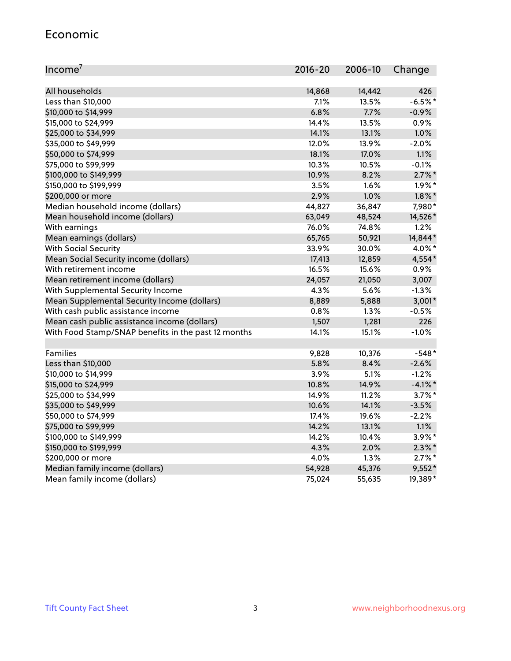#### Economic

| Income <sup>7</sup>                                 | $2016 - 20$ | 2006-10 | Change     |
|-----------------------------------------------------|-------------|---------|------------|
|                                                     |             |         |            |
| All households                                      | 14,868      | 14,442  | 426        |
| Less than \$10,000                                  | 7.1%        | 13.5%   | $-6.5%$ *  |
| \$10,000 to \$14,999                                | 6.8%        | 7.7%    | $-0.9%$    |
| \$15,000 to \$24,999                                | 14.4%       | 13.5%   | 0.9%       |
| \$25,000 to \$34,999                                | 14.1%       | 13.1%   | 1.0%       |
| \$35,000 to \$49,999                                | 12.0%       | 13.9%   | $-2.0%$    |
| \$50,000 to \$74,999                                | 18.1%       | 17.0%   | 1.1%       |
| \$75,000 to \$99,999                                | 10.3%       | 10.5%   | $-0.1%$    |
| \$100,000 to \$149,999                              | 10.9%       | 8.2%    | $2.7\%$ *  |
| \$150,000 to \$199,999                              | 3.5%        | 1.6%    | $1.9\%$ *  |
| \$200,000 or more                                   | 2.9%        | 1.0%    | $1.8\%$ *  |
| Median household income (dollars)                   | 44,827      | 36,847  | 7,980*     |
| Mean household income (dollars)                     | 63,049      | 48,524  | 14,526*    |
| With earnings                                       | 76.0%       | 74.8%   | 1.2%       |
| Mean earnings (dollars)                             | 65,765      | 50,921  | 14,844*    |
| <b>With Social Security</b>                         | 33.9%       | 30.0%   | 4.0%*      |
| Mean Social Security income (dollars)               | 17,413      | 12,859  | 4,554*     |
| With retirement income                              | 16.5%       | 15.6%   | 0.9%       |
| Mean retirement income (dollars)                    | 24,057      | 21,050  | 3,007      |
| With Supplemental Security Income                   | 4.3%        | 5.6%    | $-1.3%$    |
| Mean Supplemental Security Income (dollars)         | 8,889       | 5,888   | $3,001*$   |
| With cash public assistance income                  | 0.8%        | 1.3%    | $-0.5%$    |
| Mean cash public assistance income (dollars)        | 1,507       | 1,281   | 226        |
| With Food Stamp/SNAP benefits in the past 12 months | 14.1%       | 15.1%   | $-1.0%$    |
|                                                     |             |         |            |
| Families                                            | 9,828       | 10,376  | $-548*$    |
| Less than \$10,000                                  | 5.8%        | 8.4%    | $-2.6%$    |
| \$10,000 to \$14,999                                | 3.9%        | 5.1%    | $-1.2%$    |
| \$15,000 to \$24,999                                | 10.8%       | 14.9%   | $-4.1\%$ * |
| \$25,000 to \$34,999                                | 14.9%       | 11.2%   | $3.7\%$ *  |
| \$35,000 to \$49,999                                | 10.6%       | 14.1%   | $-3.5%$    |
| \$50,000 to \$74,999                                | 17.4%       | 19.6%   | $-2.2%$    |
| \$75,000 to \$99,999                                | 14.2%       | 13.1%   | 1.1%       |
| \$100,000 to \$149,999                              | 14.2%       | 10.4%   | $3.9\%$ *  |
| \$150,000 to \$199,999                              | 4.3%        | 2.0%    | $2.3\%$ *  |
| \$200,000 or more                                   | 4.0%        | 1.3%    | $2.7\%$ *  |
| Median family income (dollars)                      | 54,928      | 45,376  | $9,552*$   |
| Mean family income (dollars)                        | 75,024      | 55,635  | 19,389*    |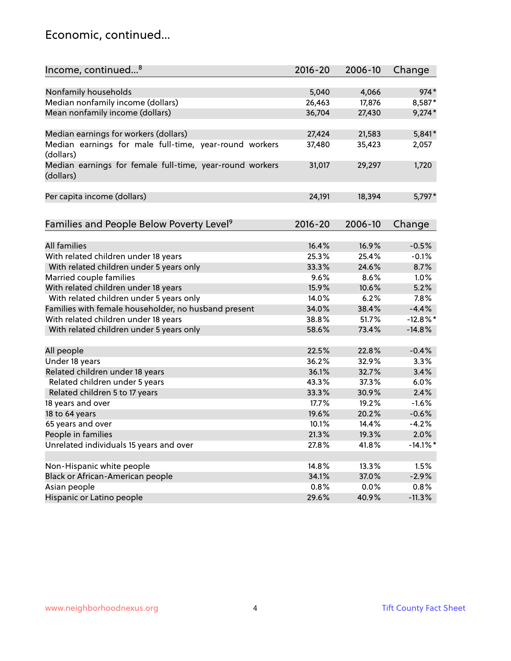#### Economic, continued...

| Income, continued <sup>8</sup>                                        | $2016 - 20$ | 2006-10 | Change      |
|-----------------------------------------------------------------------|-------------|---------|-------------|
|                                                                       |             |         |             |
| Nonfamily households                                                  | 5,040       | 4,066   | $974*$      |
| Median nonfamily income (dollars)                                     | 26,463      | 17,876  | 8,587*      |
| Mean nonfamily income (dollars)                                       | 36,704      | 27,430  | $9,274*$    |
| Median earnings for workers (dollars)                                 | 27,424      | 21,583  | 5,841*      |
| Median earnings for male full-time, year-round workers                | 37,480      | 35,423  | 2,057       |
| (dollars)                                                             |             |         |             |
| Median earnings for female full-time, year-round workers<br>(dollars) | 31,017      | 29,297  | 1,720       |
| Per capita income (dollars)                                           | 24,191      | 18,394  | 5,797*      |
|                                                                       |             |         |             |
| Families and People Below Poverty Level <sup>9</sup>                  | $2016 - 20$ | 2006-10 | Change      |
|                                                                       |             |         |             |
| <b>All families</b>                                                   | 16.4%       | 16.9%   | $-0.5%$     |
| With related children under 18 years                                  | 25.3%       | 25.4%   | $-0.1%$     |
| With related children under 5 years only                              | 33.3%       | 24.6%   | 8.7%        |
| Married couple families                                               | 9.6%        | 8.6%    | 1.0%        |
| With related children under 18 years                                  | 15.9%       | 10.6%   | 5.2%        |
| With related children under 5 years only                              | 14.0%       | 6.2%    | 7.8%        |
| Families with female householder, no husband present                  | 34.0%       | 38.4%   | $-4.4%$     |
| With related children under 18 years                                  | 38.8%       | 51.7%   | $-12.8%$    |
| With related children under 5 years only                              | 58.6%       | 73.4%   | $-14.8%$    |
| All people                                                            | 22.5%       | 22.8%   | $-0.4%$     |
| Under 18 years                                                        | 36.2%       | 32.9%   | 3.3%        |
| Related children under 18 years                                       | 36.1%       | 32.7%   | 3.4%        |
| Related children under 5 years                                        | 43.3%       | 37.3%   | 6.0%        |
| Related children 5 to 17 years                                        | 33.3%       | 30.9%   | 2.4%        |
| 18 years and over                                                     | 17.7%       | 19.2%   | $-1.6%$     |
| 18 to 64 years                                                        | 19.6%       | 20.2%   | $-0.6%$     |
| 65 years and over                                                     | 10.1%       | 14.4%   | $-4.2%$     |
| People in families                                                    | 21.3%       | 19.3%   | 2.0%        |
| Unrelated individuals 15 years and over                               | 27.8%       | 41.8%   | $-14.1\%$ * |
|                                                                       |             |         |             |
| Non-Hispanic white people                                             | 14.8%       | 13.3%   | 1.5%        |
| Black or African-American people                                      | 34.1%       | 37.0%   | $-2.9%$     |
| Asian people                                                          | 0.8%        | 0.0%    | 0.8%        |
| Hispanic or Latino people                                             | 29.6%       | 40.9%   | $-11.3%$    |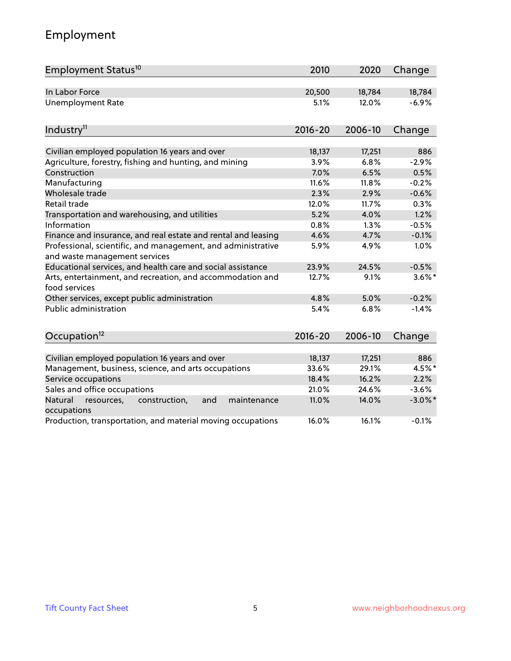### Employment

| Employment Status <sup>10</sup>                                                               | 2010        | 2020    | Change     |
|-----------------------------------------------------------------------------------------------|-------------|---------|------------|
| In Labor Force                                                                                | 20,500      | 18,784  | 18,784     |
| <b>Unemployment Rate</b>                                                                      | 5.1%        | 12.0%   | $-6.9%$    |
| Industry <sup>11</sup>                                                                        | $2016 - 20$ | 2006-10 | Change     |
|                                                                                               |             |         |            |
| Civilian employed population 16 years and over                                                | 18,137      | 17,251  | 886        |
| Agriculture, forestry, fishing and hunting, and mining                                        | 3.9%        | 6.8%    | $-2.9%$    |
| Construction                                                                                  | 7.0%        | 6.5%    | 0.5%       |
| Manufacturing                                                                                 | 11.6%       | 11.8%   | $-0.2%$    |
| Wholesale trade                                                                               | 2.3%        | 2.9%    | $-0.6%$    |
| Retail trade                                                                                  | 12.0%       | 11.7%   | 0.3%       |
| Transportation and warehousing, and utilities                                                 | 5.2%        | 4.0%    | 1.2%       |
| Information                                                                                   | 0.8%        | 1.3%    | $-0.5%$    |
| Finance and insurance, and real estate and rental and leasing                                 | 4.6%        | 4.7%    | $-0.1%$    |
| Professional, scientific, and management, and administrative<br>and waste management services | 5.9%        | 4.9%    | 1.0%       |
| Educational services, and health care and social assistance                                   | 23.9%       | 24.5%   | $-0.5%$    |
| Arts, entertainment, and recreation, and accommodation and<br>food services                   | 12.7%       | 9.1%    | $3.6\%$ *  |
| Other services, except public administration                                                  | 4.8%        | 5.0%    | $-0.2%$    |
| <b>Public administration</b>                                                                  | 5.4%        | 6.8%    | $-1.4%$    |
| Occupation <sup>12</sup>                                                                      | $2016 - 20$ | 2006-10 | Change     |
|                                                                                               |             |         |            |
| Civilian employed population 16 years and over                                                | 18,137      | 17,251  | 886        |
| Management, business, science, and arts occupations                                           | 33.6%       | 29.1%   | 4.5%*      |
| Service occupations                                                                           | 18.4%       | 16.2%   | 2.2%       |
| Sales and office occupations                                                                  | 21.0%       | 24.6%   | $-3.6%$    |
| Natural<br>resources,<br>construction,<br>and<br>maintenance<br>occupations                   | 11.0%       | 14.0%   | $-3.0\%$ * |
| Production, transportation, and material moving occupations                                   | 16.0%       | 16.1%   | $-0.1%$    |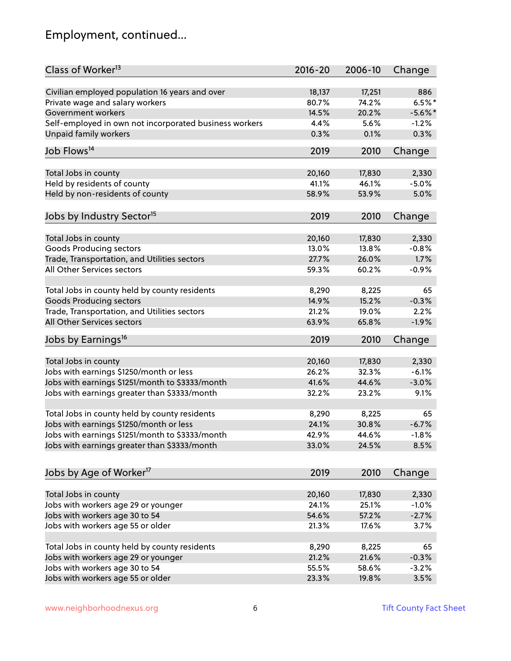### Employment, continued...

| Class of Worker <sup>13</sup>                          | $2016 - 20$ | 2006-10 | Change    |
|--------------------------------------------------------|-------------|---------|-----------|
| Civilian employed population 16 years and over         | 18,137      | 17,251  | 886       |
| Private wage and salary workers                        | 80.7%       | 74.2%   | $6.5%$ *  |
| Government workers                                     | 14.5%       | 20.2%   | $-5.6%$ * |
| Self-employed in own not incorporated business workers | 4.4%        | 5.6%    | $-1.2%$   |
| <b>Unpaid family workers</b>                           | 0.3%        | 0.1%    | 0.3%      |
|                                                        |             |         |           |
| Job Flows <sup>14</sup>                                | 2019        | 2010    | Change    |
| Total Jobs in county                                   | 20,160      | 17,830  | 2,330     |
| Held by residents of county                            | 41.1%       | 46.1%   | $-5.0%$   |
| Held by non-residents of county                        | 58.9%       | 53.9%   | 5.0%      |
| Jobs by Industry Sector <sup>15</sup>                  | 2019        | 2010    | Change    |
|                                                        |             |         |           |
| Total Jobs in county                                   | 20,160      | 17,830  | 2,330     |
| Goods Producing sectors                                | 13.0%       | 13.8%   | $-0.8%$   |
| Trade, Transportation, and Utilities sectors           | 27.7%       | 26.0%   | 1.7%      |
| All Other Services sectors                             | 59.3%       | 60.2%   | $-0.9%$   |
|                                                        |             |         |           |
| Total Jobs in county held by county residents          | 8,290       | 8,225   | 65        |
| <b>Goods Producing sectors</b>                         | 14.9%       | 15.2%   | $-0.3%$   |
| Trade, Transportation, and Utilities sectors           | 21.2%       | 19.0%   | 2.2%      |
| All Other Services sectors                             | 63.9%       | 65.8%   | $-1.9%$   |
| Jobs by Earnings <sup>16</sup>                         | 2019        | 2010    | Change    |
|                                                        |             |         |           |
| Total Jobs in county                                   | 20,160      | 17,830  | 2,330     |
| Jobs with earnings \$1250/month or less                | 26.2%       | 32.3%   | $-6.1%$   |
| Jobs with earnings \$1251/month to \$3333/month        | 41.6%       | 44.6%   | $-3.0%$   |
| Jobs with earnings greater than \$3333/month           | 32.2%       | 23.2%   | 9.1%      |
| Total Jobs in county held by county residents          | 8,290       | 8,225   | 65        |
| Jobs with earnings \$1250/month or less                | 24.1%       | 30.8%   | $-6.7%$   |
| Jobs with earnings \$1251/month to \$3333/month        | 42.9%       | 44.6%   | $-1.8%$   |
| Jobs with earnings greater than \$3333/month           | 33.0%       | 24.5%   | 8.5%      |
| Jobs by Age of Worker <sup>17</sup>                    | 2019        | 2010    | Change    |
|                                                        |             |         |           |
| Total Jobs in county                                   | 20,160      | 17,830  | 2,330     |
| Jobs with workers age 29 or younger                    | 24.1%       | 25.1%   | $-1.0%$   |
| Jobs with workers age 30 to 54                         | 54.6%       | 57.2%   | $-2.7%$   |
| Jobs with workers age 55 or older                      | 21.3%       | 17.6%   | 3.7%      |
|                                                        |             |         |           |
| Total Jobs in county held by county residents          | 8,290       | 8,225   | 65        |
| Jobs with workers age 29 or younger                    | 21.2%       | 21.6%   | $-0.3%$   |
| Jobs with workers age 30 to 54                         | 55.5%       | 58.6%   | $-3.2%$   |
| Jobs with workers age 55 or older                      | 23.3%       | 19.8%   | 3.5%      |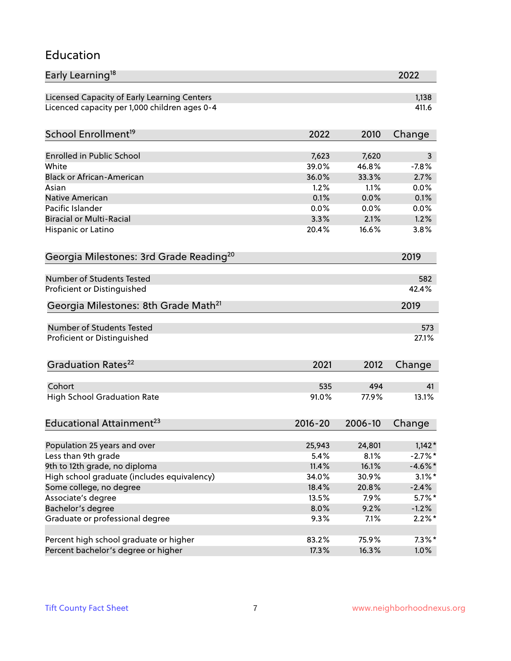#### Education

| Early Learning <sup>18</sup>                        |             |         | 2022       |
|-----------------------------------------------------|-------------|---------|------------|
| Licensed Capacity of Early Learning Centers         |             |         | 1,138      |
| Licenced capacity per 1,000 children ages 0-4       |             |         | 411.6      |
|                                                     |             |         |            |
| School Enrollment <sup>19</sup>                     | 2022        | 2010    | Change     |
| <b>Enrolled in Public School</b>                    | 7,623       | 7,620   | 3          |
| White                                               | 39.0%       | 46.8%   | $-7.8%$    |
| <b>Black or African-American</b>                    | 36.0%       | 33.3%   | 2.7%       |
| Asian                                               | 1.2%        | 1.1%    | 0.0%       |
| Native American                                     | 0.1%        | 0.0%    | 0.1%       |
| Pacific Islander                                    | 0.0%        | 0.0%    | 0.0%       |
| <b>Biracial or Multi-Racial</b>                     | 3.3%        | 2.1%    | 1.2%       |
| Hispanic or Latino                                  | 20.4%       | 16.6%   | 3.8%       |
| Georgia Milestones: 3rd Grade Reading <sup>20</sup> |             |         | 2019       |
|                                                     |             |         |            |
| <b>Number of Students Tested</b>                    |             |         | 582        |
| Proficient or Distinguished                         |             |         | 42.4%      |
| Georgia Milestones: 8th Grade Math <sup>21</sup>    |             |         | 2019       |
| Number of Students Tested                           |             |         | 573        |
| Proficient or Distinguished                         |             |         | 27.1%      |
|                                                     |             |         |            |
| Graduation Rates <sup>22</sup>                      | 2021        | 2012    | Change     |
|                                                     |             |         |            |
| Cohort                                              | 535         | 494     | 41         |
| <b>High School Graduation Rate</b>                  | 91.0%       | 77.9%   | 13.1%      |
| Educational Attainment <sup>23</sup>                | $2016 - 20$ | 2006-10 | Change     |
|                                                     |             |         |            |
| Population 25 years and over                        | 25,943      | 24,801  | $1,142*$   |
| Less than 9th grade                                 | 5.4%        | 8.1%    | $-2.7%$ *  |
| 9th to 12th grade, no diploma                       | 11.4%       | 16.1%   | $-4.6\%$ * |
| High school graduate (includes equivalency)         | 34.0%       | 30.9%   | $3.1\%$ *  |
| Some college, no degree                             | 18.4%       | 20.8%   | $-2.4%$    |
| Associate's degree                                  | 13.5%       | 7.9%    | $5.7\%$ *  |
| Bachelor's degree                                   | 8.0%        | 9.2%    | $-1.2%$    |
| Graduate or professional degree                     | 9.3%        | 7.1%    | $2.2\%$ *  |
| Percent high school graduate or higher              | 83.2%       | 75.9%   | $7.3\%$ *  |
| Percent bachelor's degree or higher                 | 17.3%       | 16.3%   | 1.0%       |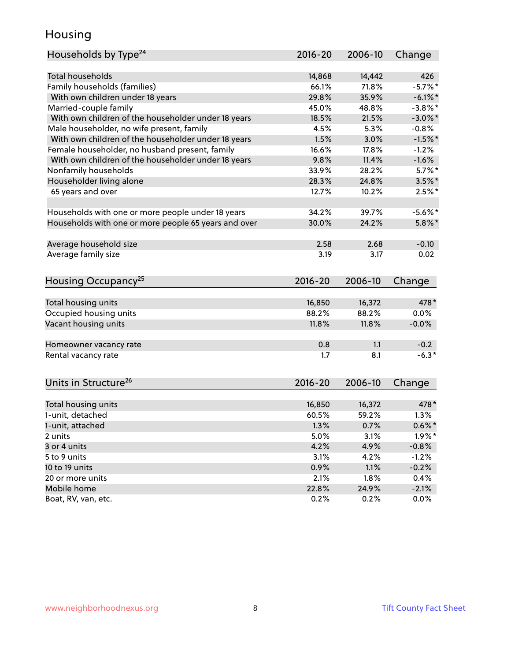#### Housing

| Households by Type <sup>24</sup>                     | 2016-20 | 2006-10 | Change     |
|------------------------------------------------------|---------|---------|------------|
|                                                      |         |         |            |
| <b>Total households</b>                              | 14,868  | 14,442  | 426        |
| Family households (families)                         | 66.1%   | 71.8%   | $-5.7%$    |
| With own children under 18 years                     | 29.8%   | 35.9%   | $-6.1\%$ * |
| Married-couple family                                | 45.0%   | 48.8%   | $-3.8\%$ * |
| With own children of the householder under 18 years  | 18.5%   | 21.5%   | $-3.0\%$ * |
| Male householder, no wife present, family            | 4.5%    | 5.3%    | $-0.8%$    |
| With own children of the householder under 18 years  | 1.5%    | 3.0%    | $-1.5%$ *  |
| Female householder, no husband present, family       | 16.6%   | 17.8%   | $-1.2%$    |
| With own children of the householder under 18 years  | 9.8%    | 11.4%   | $-1.6%$    |
| Nonfamily households                                 | 33.9%   | 28.2%   | $5.7\%$ *  |
| Householder living alone                             | 28.3%   | 24.8%   | $3.5\%$ *  |
| 65 years and over                                    | 12.7%   | 10.2%   | $2.5%$ *   |
|                                                      |         |         |            |
| Households with one or more people under 18 years    | 34.2%   | 39.7%   | $-5.6%$    |
| Households with one or more people 65 years and over | 30.0%   | 24.2%   | $5.8\%$ *  |
| Average household size                               | 2.58    | 2.68    | $-0.10$    |
| Average family size                                  | 3.19    | 3.17    | 0.02       |
|                                                      |         |         |            |
| Housing Occupancy <sup>25</sup>                      | 2016-20 | 2006-10 | Change     |
|                                                      |         |         |            |
| Total housing units                                  | 16,850  | 16,372  | 478*       |
| Occupied housing units                               | 88.2%   | 88.2%   | 0.0%       |
| Vacant housing units                                 | 11.8%   | 11.8%   | $-0.0%$    |
| Homeowner vacancy rate                               | 0.8     | 1.1     | $-0.2$     |
| Rental vacancy rate                                  | 1.7     | 8.1     | $-6.3*$    |
|                                                      |         |         |            |
| Units in Structure <sup>26</sup>                     | 2016-20 | 2006-10 | Change     |
|                                                      |         |         |            |
| Total housing units                                  | 16,850  | 16,372  | 478*       |
| 1-unit, detached                                     | 60.5%   | 59.2%   | 1.3%       |
| 1-unit, attached                                     | 1.3%    | 0.7%    | $0.6\%*$   |
| 2 units                                              | 5.0%    | 3.1%    | $1.9\%$ *  |
| 3 or 4 units                                         | 4.2%    | 4.9%    | $-0.8%$    |
| 5 to 9 units                                         | 3.1%    | 4.2%    | $-1.2%$    |
| 10 to 19 units                                       | 0.9%    | 1.1%    | $-0.2%$    |
| 20 or more units                                     | 2.1%    | 1.8%    | 0.4%       |
| Mobile home                                          | 22.8%   | 24.9%   | $-2.1%$    |
| Boat, RV, van, etc.                                  | 0.2%    | 0.2%    | $0.0\%$    |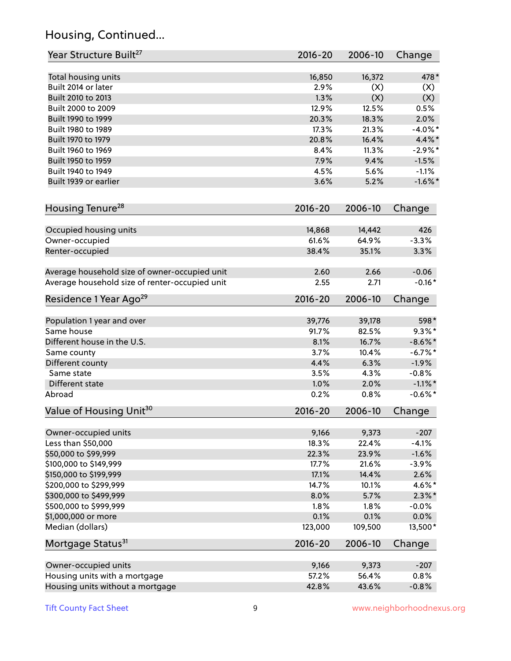### Housing, Continued...

| Year Structure Built <sup>27</sup>             | 2016-20      | 2006-10 | Change     |
|------------------------------------------------|--------------|---------|------------|
| Total housing units                            | 16,850       | 16,372  | 478*       |
| Built 2014 or later                            | 2.9%         | (X)     | (X)        |
| Built 2010 to 2013                             | 1.3%         | (X)     | (X)        |
| Built 2000 to 2009                             | 12.9%        | 12.5%   | 0.5%       |
| Built 1990 to 1999                             | 20.3%        | 18.3%   | 2.0%       |
| Built 1980 to 1989                             | 17.3%        | 21.3%   | $-4.0\%$ * |
| Built 1970 to 1979                             | 20.8%        | 16.4%   | 4.4%*      |
| Built 1960 to 1969                             | 8.4%         | 11.3%   | $-2.9\%$ * |
| Built 1950 to 1959                             | 7.9%         | 9.4%    | $-1.5%$    |
| Built 1940 to 1949                             | 4.5%         | 5.6%    | $-1.1%$    |
| Built 1939 or earlier                          | 3.6%         | 5.2%    | $-1.6\%$ * |
|                                                |              |         |            |
| Housing Tenure <sup>28</sup>                   | $2016 - 20$  | 2006-10 | Change     |
| Occupied housing units                         | 14,868       | 14,442  | 426        |
| Owner-occupied                                 | 61.6%        | 64.9%   | $-3.3%$    |
| Renter-occupied                                | 38.4%        | 35.1%   | 3.3%       |
| Average household size of owner-occupied unit  |              | 2.66    | $-0.06$    |
| Average household size of renter-occupied unit | 2.60<br>2.55 | 2.71    | $-0.16*$   |
| Residence 1 Year Ago <sup>29</sup>             | 2016-20      | 2006-10 | Change     |
|                                                |              |         |            |
| Population 1 year and over                     | 39,776       | 39,178  | 598*       |
| Same house                                     | 91.7%        | 82.5%   | $9.3\%$ *  |
| Different house in the U.S.                    | 8.1%         | 16.7%   | $-8.6\%$ * |
| Same county                                    | 3.7%         | 10.4%   | $-6.7\%$ * |
| Different county                               | 4.4%         | 6.3%    | $-1.9%$    |
| Same state                                     | 3.5%         | 4.3%    | $-0.8%$    |
| Different state                                | 1.0%         | 2.0%    | $-1.1\%$ * |
| Abroad                                         | 0.2%         | 0.8%    | $-0.6%$ *  |
| Value of Housing Unit <sup>30</sup>            | 2016-20      | 2006-10 | Change     |
| Owner-occupied units                           | 9,166        | 9,373   | $-207$     |
| Less than \$50,000                             | 18.3%        | 22.4%   | $-4.1%$    |
| \$50,000 to \$99,999                           | 22.3%        | 23.9%   | $-1.6%$    |
| \$100,000 to \$149,999                         | 17.7%        | 21.6%   | $-3.9%$    |
| \$150,000 to \$199,999                         | 17.1%        | 14.4%   | 2.6%       |
| \$200,000 to \$299,999                         | 14.7%        | 10.1%   | 4.6%*      |
| \$300,000 to \$499,999                         | 8.0%         | 5.7%    | $2.3\%$ *  |
| \$500,000 to \$999,999                         | 1.8%         | 1.8%    | $-0.0%$    |
| \$1,000,000 or more                            | 0.1%         | 0.1%    | 0.0%       |
| Median (dollars)                               | 123,000      | 109,500 | 13,500*    |
| Mortgage Status <sup>31</sup>                  | $2016 - 20$  | 2006-10 | Change     |
| Owner-occupied units                           | 9,166        | 9,373   | $-207$     |
| Housing units with a mortgage                  | 57.2%        | 56.4%   | 0.8%       |
| Housing units without a mortgage               | 42.8%        | 43.6%   | $-0.8%$    |
|                                                |              |         |            |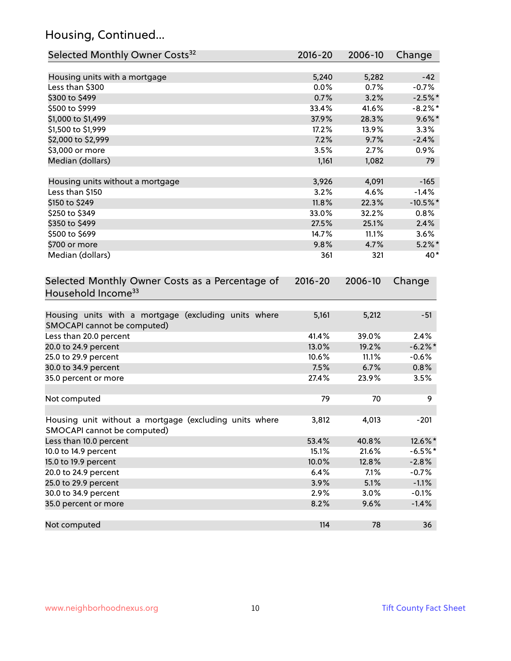### Housing, Continued...

| Selected Monthly Owner Costs <sup>32</sup>                                            | 2016-20 | 2006-10 | Change      |
|---------------------------------------------------------------------------------------|---------|---------|-------------|
| Housing units with a mortgage                                                         | 5,240   | 5,282   | $-42$       |
| Less than \$300                                                                       | 0.0%    | 0.7%    | $-0.7%$     |
| \$300 to \$499                                                                        | 0.7%    | 3.2%    | $-2.5%$ *   |
| \$500 to \$999                                                                        | 33.4%   | 41.6%   | $-8.2\%$ *  |
| \$1,000 to \$1,499                                                                    | 37.9%   | 28.3%   | $9.6\%$ *   |
| \$1,500 to \$1,999                                                                    | 17.2%   | 13.9%   | 3.3%        |
| \$2,000 to \$2,999                                                                    | 7.2%    | 9.7%    | $-2.4%$     |
| \$3,000 or more                                                                       | 3.5%    | 2.7%    | 0.9%        |
| Median (dollars)                                                                      | 1,161   | 1,082   | 79          |
| Housing units without a mortgage                                                      | 3,926   | 4,091   | $-165$      |
| Less than \$150                                                                       | 3.2%    | 4.6%    | $-1.4%$     |
| \$150 to \$249                                                                        | 11.8%   | 22.3%   | $-10.5\%$ * |
| \$250 to \$349                                                                        | 33.0%   | 32.2%   | 0.8%        |
| \$350 to \$499                                                                        | 27.5%   | 25.1%   | 2.4%        |
| \$500 to \$699                                                                        | 14.7%   | 11.1%   | 3.6%        |
| \$700 or more                                                                         | 9.8%    | 4.7%    | $5.2\%$ *   |
| Median (dollars)                                                                      | 361     | 321     | 40*         |
| Household Income <sup>33</sup>                                                        |         |         |             |
| Housing units with a mortgage (excluding units where<br>SMOCAPI cannot be computed)   | 5,161   | 5,212   | $-51$       |
| Less than 20.0 percent                                                                | 41.4%   | 39.0%   | 2.4%        |
| 20.0 to 24.9 percent                                                                  | 13.0%   | 19.2%   | $-6.2\%$ *  |
| 25.0 to 29.9 percent                                                                  | 10.6%   | 11.1%   | $-0.6%$     |
| 30.0 to 34.9 percent                                                                  | 7.5%    | 6.7%    | 0.8%        |
| 35.0 percent or more                                                                  | 27.4%   | 23.9%   | 3.5%        |
| Not computed                                                                          | 79      | 70      | 9           |
| Housing unit without a mortgage (excluding units where<br>SMOCAPI cannot be computed) | 3,812   | 4,013   | $-201$      |
| Less than 10.0 percent                                                                | 53.4%   | 40.8%   | 12.6%*      |
| 10.0 to 14.9 percent                                                                  | 15.1%   | 21.6%   | $-6.5%$ *   |
| 15.0 to 19.9 percent                                                                  | 10.0%   | 12.8%   | $-2.8%$     |
| 20.0 to 24.9 percent                                                                  | 6.4%    | 7.1%    | $-0.7%$     |
| 25.0 to 29.9 percent                                                                  | 3.9%    | 5.1%    | $-1.1%$     |
| 30.0 to 34.9 percent                                                                  | 2.9%    | 3.0%    | $-0.1%$     |
| 35.0 percent or more                                                                  | 8.2%    | 9.6%    | $-1.4%$     |
| Not computed                                                                          | 114     | 78      | 36          |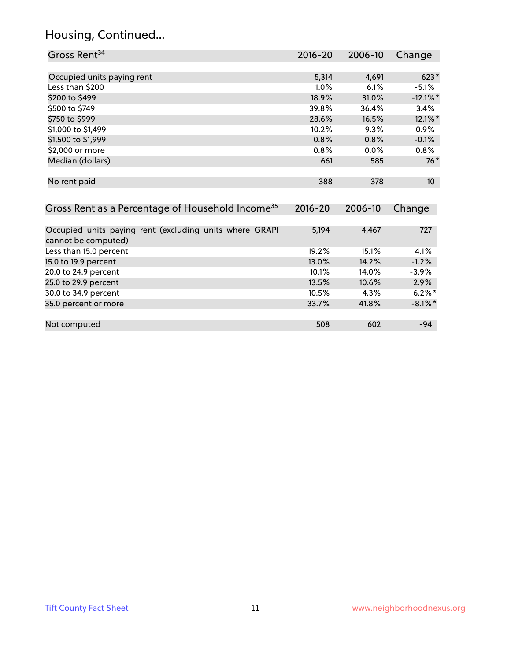### Housing, Continued...

| Gross Rent <sup>34</sup>                                                       | 2016-20     | 2006-10 | Change          |
|--------------------------------------------------------------------------------|-------------|---------|-----------------|
|                                                                                |             |         |                 |
| Occupied units paying rent                                                     | 5,314       | 4,691   | $623*$          |
| Less than \$200                                                                | $1.0\%$     | 6.1%    | $-5.1%$         |
| \$200 to \$499                                                                 | 18.9%       | 31.0%   | $-12.1\%$ *     |
| \$500 to \$749                                                                 | 39.8%       | 36.4%   | 3.4%            |
| \$750 to \$999                                                                 | 28.6%       | 16.5%   | 12.1%*          |
| \$1,000 to \$1,499                                                             | 10.2%       | 9.3%    | 0.9%            |
| \$1,500 to \$1,999                                                             | 0.8%        | 0.8%    | $-0.1%$         |
| \$2,000 or more                                                                | 0.8%        | $0.0\%$ | $0.8\%$         |
| Median (dollars)                                                               | 661         | 585     | $76*$           |
|                                                                                |             |         |                 |
| No rent paid                                                                   | 388         | 378     | 10 <sup>°</sup> |
|                                                                                |             |         |                 |
| Gross Rent as a Percentage of Household Income <sup>35</sup>                   | $2016 - 20$ | 2006-10 | Change          |
|                                                                                |             |         |                 |
| Occupied units paying rent (excluding units where GRAPI<br>cannot be computed) | 5,194       | 4,467   | 727             |
| Less than 15.0 percent                                                         | 19.2%       | 15.1%   | 4.1%            |
| 15.0 to 19.9 percent                                                           | 13.0%       | 14.2%   | $-1.2%$         |
| 20.0 to 24.9 percent                                                           | 10.1%       | 14.0%   | $-3.9\%$        |
| 25.0 to 29.9 percent                                                           | 13.5%       | 10.6%   | $2.9\%$         |
| 30.0 to 34.9 percent                                                           | 10.5%       | 4.3%    | $6.2\%$ *       |
| 35.0 percent or more                                                           | 33.7%       | 41.8%   | $-8.1\%$ *      |

| Not computed | 508 | 602 | -94 |
|--------------|-----|-----|-----|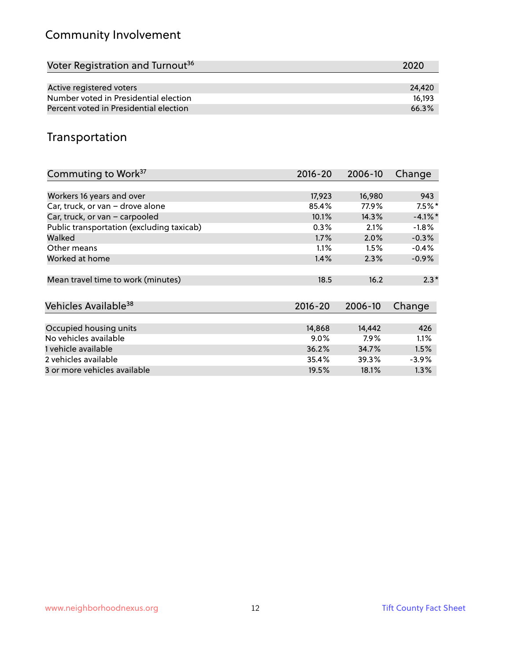### Community Involvement

| 2020   |
|--------|
|        |
| 24.420 |
| 16.193 |
| 66.3%  |
|        |

#### Transportation

| Commuting to Work <sup>37</sup>           | 2016-20     | 2006-10 | Change    |
|-------------------------------------------|-------------|---------|-----------|
|                                           |             |         |           |
| Workers 16 years and over                 | 17,923      | 16,980  | 943       |
| Car, truck, or van - drove alone          | 85.4%       | 77.9%   | $7.5%$ *  |
| Car, truck, or van - carpooled            | 10.1%       | 14.3%   | $-4.1%$ * |
| Public transportation (excluding taxicab) | 0.3%        | 2.1%    | $-1.8%$   |
| Walked                                    | 1.7%        | 2.0%    | $-0.3%$   |
| Other means                               | 1.1%        | 1.5%    | $-0.4%$   |
| Worked at home                            | 1.4%        | 2.3%    | $-0.9%$   |
|                                           |             |         |           |
| Mean travel time to work (minutes)        | 18.5        | 16.2    | $2.3*$    |
|                                           |             |         |           |
| Vehicles Available <sup>38</sup>          | $2016 - 20$ | 2006-10 | Change    |
|                                           |             |         |           |
| Occupied housing units                    | 14,868      | 14,442  | 426       |
| No vehicles available                     | 9.0%        | 7.9%    | 1.1%      |
| 1 vehicle available                       | 36.2%       | 34.7%   | 1.5%      |
| 2 vehicles available                      | 35.4%       | 39.3%   | $-3.9%$   |
| 3 or more vehicles available              | 19.5%       | 18.1%   | $1.3\%$   |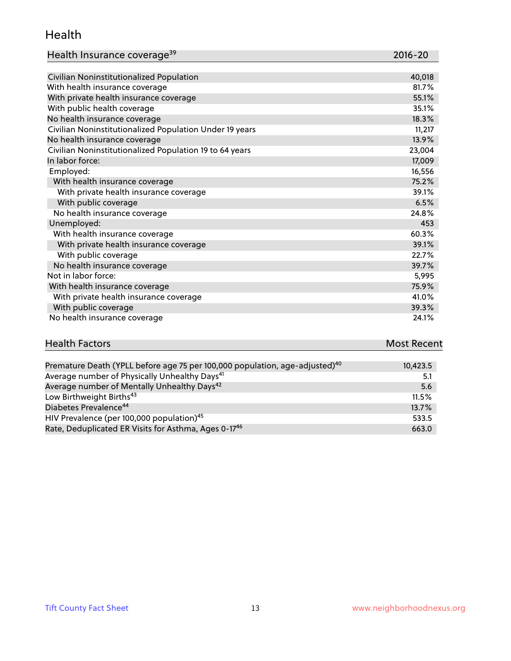#### Health

| Health Insurance coverage <sup>39</sup> | 2016-20 |
|-----------------------------------------|---------|
|-----------------------------------------|---------|

| Civilian Noninstitutionalized Population                | 40,018 |
|---------------------------------------------------------|--------|
| With health insurance coverage                          | 81.7%  |
| With private health insurance coverage                  | 55.1%  |
| With public health coverage                             | 35.1%  |
| No health insurance coverage                            | 18.3%  |
| Civilian Noninstitutionalized Population Under 19 years | 11,217 |
| No health insurance coverage                            | 13.9%  |
| Civilian Noninstitutionalized Population 19 to 64 years | 23,004 |
| In labor force:                                         | 17,009 |
| Employed:                                               | 16,556 |
| With health insurance coverage                          | 75.2%  |
| With private health insurance coverage                  | 39.1%  |
| With public coverage                                    | 6.5%   |
| No health insurance coverage                            | 24.8%  |
| Unemployed:                                             | 453    |
| With health insurance coverage                          | 60.3%  |
| With private health insurance coverage                  | 39.1%  |
| With public coverage                                    | 22.7%  |
| No health insurance coverage                            | 39.7%  |
| Not in labor force:                                     | 5,995  |
| With health insurance coverage                          | 75.9%  |
| With private health insurance coverage                  | 41.0%  |
| With public coverage                                    | 39.3%  |
| No health insurance coverage                            | 24.1%  |

## **Health Factors Most Recent** And The Control of the Control of The Control of The Control of The Control of The Control of The Control of The Control of The Control of The Control of The Control of The Control of The Contr

| Premature Death (YPLL before age 75 per 100,000 population, age-adjusted) <sup>40</sup> | 10,423.5 |
|-----------------------------------------------------------------------------------------|----------|
| Average number of Physically Unhealthy Days <sup>41</sup>                               | 5.1      |
| Average number of Mentally Unhealthy Days <sup>42</sup>                                 | 5.6      |
| Low Birthweight Births <sup>43</sup>                                                    | 11.5%    |
| Diabetes Prevalence <sup>44</sup>                                                       | 13.7%    |
| HIV Prevalence (per 100,000 population) <sup>45</sup>                                   | 533.5    |
| Rate, Deduplicated ER Visits for Asthma, Ages 0-17 <sup>46</sup>                        | 663.0    |